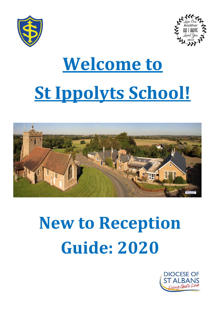



# **Welcome to St Ippolyts School!**



## **New to Reception Guide: 2020**

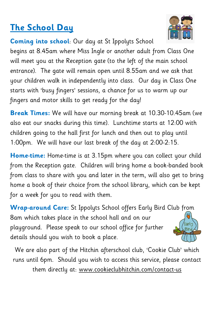#### **The School Day**

**Coming into school**: Our day at St Ippolyts School

begins at 8.45am where Miss Ingle or another adult from Class One will meet you at the Reception gate (to the left of the main school entrance). The gate will remain open until 8.55am and we ask that your children walk in independently into class. Our day in Class One starts with 'busy fingers' sessions, a chance for us to warm up our fingers and motor skills to get ready for the day!

**Break Times:** We will have our morning break at 10.30-10.45am (we also eat our snacks during this time). Lunchtime starts at 12:00 with children going to the hall first for lunch and then out to play until 1:00pm. We will have our last break of the day at 2:00-2:15.

**Home-time:** Home-time is at 3.15pm where you can collect your child from the Reception gate. Children will bring home a book-banded book from class to share with you and later in the term, will also get to bring home a book of their choice from the school library, which can be kept for a week for you to read with them.

**Wrap-around Care:** St Ippolyts School offers Early Bird Club from 8am which takes place in the school hall and on our 'Earl playground. Please speak to our school office for further details should you wish to book a place.

We are also part of the Hitchin afterschool club, 'Cookie Club' which runs until 6pm. Should you wish to access this service, please contact them directly at: [www.cookieclubhitchin.com/contact-us](http://www.cookieclubhitchin.com/contact-us)



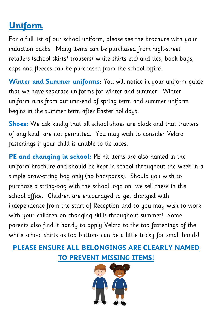## **Uniform**

For a full list of our school uniform, please see the brochure with your induction packs. Many items can be purchased from high-street retailers (school skirts/ trousers/ white shirts etc) and ties, book-bags, caps and fleeces can be purchased from the school office.

**Winter and Summer uniforms**: You will notice in your uniform guide that we have separate uniforms for winter and summer. Winter uniform runs from autumn-end of spring term and summer uniform begins in the summer term after Easter holidays.

**Shoes:** We ask kindly that all school shoes are black and that trainers of any kind, are not permitted. You may wish to consider Velcro fastenings if your child is unable to tie laces.

**PE and changing in school:** PE kit items are also named in the uniform brochure and should be kept in school throughout the week in a simple draw-string bag only (no backpacks). Should you wish to purchase a string-bag with the school logo on, we sell these in the school office. Children are encouraged to get changed with independence from the start of Reception and so you may wish to work with your children on changing skills throughout summer! Some parents also find it handy to apply Velcro to the top fastenings of the white school shirts as top buttons can be a little tricky for small hands!

#### **PLEASE ENSURE ALL BELONGINGS ARE CLEARLY NAMED TO PREVENT MISSING ITEMS!**

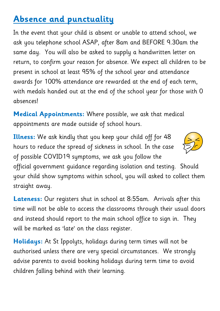## **Absence and punctuality**

In the event that your child is absent or unable to attend school, we ask you telephone school ASAP, after 8am and BEFORE 9.30am the same day. You will also be asked to supply a handwritten letter on return, to confirm your reason for absence. We expect all children to be present in school at least 95% of the school year and attendance awards for 100% attendance are rewarded at the end of each term, with medals handed out at the end of the school year for those with 0 absences!

**Medical Appointments:** Where possible, we ask that medical appointments are made outside of school hours.

**Illness:** We ask kindly that you keep your child off for 48 hours to reduce the spread of sickness in school. In the case of possible COVID19 symptoms, we ask you follow the



official government guidance regarding isolation and testing. Should your child show symptoms within school, you will asked to collect them straight away.

**Lateness:** Our registers shut in school at 8:55am. Arrivals after this time will not be able to access the classrooms through their usual doors and instead should report to the main school office to sign in. They will be marked as 'late' on the class register.

**Holidays:** At St Ippolyts, holidays during term times will not be authorised unless there are very special circumstances. We strongly advise parents to avoid booking holidays during term time to avoid children falling behind with their learning.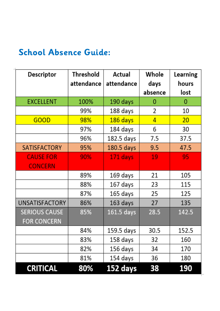#### **School Absence Guide:**

| Descriptor            | Threshold  | Actual       | Whole   | Learning |
|-----------------------|------------|--------------|---------|----------|
|                       | attendance | attendance   | days    | hours    |
|                       |            |              | absence | lost     |
| <b>EXCELLENT</b>      | 100%       | 190 days     | 0       | 0        |
|                       | 99%        | 188 days     | 2       | 10       |
| GOOD                  | 98%        | 186 days     | 4       | 20       |
|                       | 97%        | 184 days     | 6       | 30       |
|                       | 96%        | 182.5 days   | 7.5     | 37.5     |
| <b>SATISFACTORY</b>   | 95%        | 180.5 days   | 9.5     | 47.5     |
| <b>CAUSE FOR</b>      | 90%        | 171 days     | 19      | 95       |
| <b>CONCERN</b>        |            |              |         |          |
|                       | 89%        | 169 days     | 21      | 105      |
|                       | 88%        | 167 days     | 23      | 115      |
|                       | 87%        | 165 days     | 25      | 125      |
| <b>UNSATISFACTORY</b> | 86%        | 163 days     | 27      | 135      |
| <b>SERIOUS CAUSE</b>  | 85%        | $161.5$ days | 28.5    | 142.5    |
| <b>FOR CONCERN</b>    |            |              |         |          |
|                       | 84%        | 159.5 days   | 30.5    | 152.5    |
|                       | 83%        | 158 days     | 32      | 160      |
|                       | 82%        | 156 days     | 34      | 170      |
|                       | 81%        | 154 days     | 36      | 180      |
| <b>CRITICAL</b>       | 80%        | 152 days     | 38      | 190      |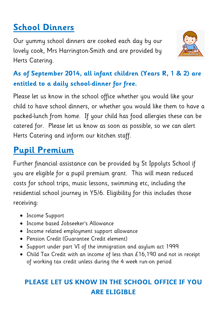## **School Dinners**

Our yummy school dinners are cooked each day by our lovely cook, Mrs Harrington-Smith and are provided by Herts Catering.



#### **As of September 2014, all infant children (Years R, 1 & 2) are entitled to a daily school-dinner for free.**

Please let us know in the school office whether you would like your child to have school dinners, or whether you would like them to have a packed-lunch from home. If your child has food allergies these can be catered for. Please let us know as soon as possible, so we can alert Herts Catering and inform our kitchen staff.

### **Pupil Premium**

Further financial assistance can be provided by St Ippolyts School if you are eligible for a pupil premium grant. This will mean reduced costs for school trips, music lessons, swimming etc, including the residential school journey in Y5/6. Eligibility for this includes those receiving:

- Income Support
- Income based Jobseeker's Allowance
- Income related employment support allowance
- Pension Credit (Guarantee Credit element)
- Support under part VI of the immigration and asylum act 1999
- Child Tax Credit with an income of less than £16,190 and not in receipt of working tax credit unless during the 4 week run-on period

#### **PLEASE LET US KNOW IN THE SCHOOL OFFICE IF YOU ARE ELIGIBLE**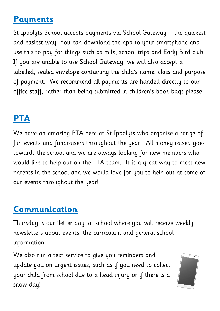#### **Payments**

St Ippolyts School accepts payments via School Gateway – the quickest and easiest way! You can download the app to your smartphone and use this to pay for things such as milk, school trips and Early Bird club. If you are unable to use School Gateway, we will also accept a labelled, sealed envelope containing the child's name, class and purpose of payment. We recommend all payments are handed directly to our office staff, rather than being submitted in children's book bags please.

## **PTA**

We have an amazing PTA here at St Ippolyts who organise a range of fun events and fundraisers throughout the year. All money raised goes towards the school and we are always looking for new members who would like to help out on the PTA team. It is a great way to meet new parents in the school and we would love for you to help out at some of our events throughout the year!

#### **Communication**

Thursday is our 'letter day' at school where you will receive weekly newsletters about events, the curriculum and general school information.

We also run a text service to give you reminders and update you on urgent issues, such as if you need to collect your child from school due to a head injury or if there is a snow day!

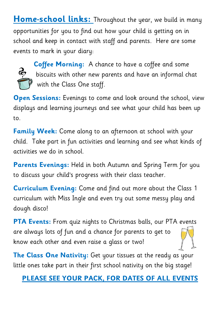**Home-school links:** Throughout the year, we build in many opportunities for you to find out how your child is getting on in school and keep in contact with staff and parents. Here are some events to mark in your diary:



**Coffee Morning:** A chance to have a coffee and some biscuits with other new parents and have an informal chat with the Class One staff.

**Open Sessions:** Evenings to come and look around the school, view displays and learning journeys and see what your child has been up to.

**Family Week:** Come along to an afternoon at school with your child. Take part in fun activities and learning and see what kinds of activities we do in school.

**Parents Evenings:** Held in both Autumn and Spring Term for you to discuss your child's progress with their class teacher.

**Curriculum Evening:** Come and find out more about the Class 1 curriculum with Miss Ingle and even try out some messy play and dough disco!

**PTA Events:** From quiz nights to Christmas balls, our PTA events are always lots of fun and a chance for parents to get to know each other and even raise a glass or two!

**The Class One Nativity:** Get your tissues at the ready as your little ones take part in their first school nativity on the big stage!

#### **PLEASE SEE YOUR PACK, FOR DATES OF ALL EVENTS**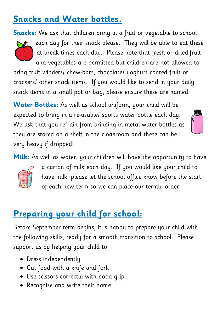## **Snacks and Water bottles.**

**Snacks:** We ask that children bring in a fruit or vegetable to school



each day for their snack please. They will be able to eat these at break-times each day. Please note that fresh or dried fruit and vegetables are permitted but children are not allowed to

bring fruit winders/ chew-bars, chocolate/ yoghurt coated fruit or crackers/ other snack items. If you would like to send in your daily snack items in a small pot or bag, please ensure these are named.

**Water Bottles:** As well as school uniform, your child will be expected to bring in a re-usable/ sports water bottle each day. We ask that you refrain from bringing in metal water bottles as they are stored on a shelf in the cloakroom and these can be very heavy if dropped!

**Milk:** As well as water, your children will have the opportunity to have



a carton of milk each day. If you would like your child to have milk, please let the school office know before the start of each new term so we can place our termly order.

## **Preparing your child for school:**

Before September term begins, it is handy to prepare your child with the following skills, ready for a smooth transition to school. Please support us by helping your child to:

- Dress independently
- Cut food with a knife and fork
- Use scissors correctly with good grip
- Recognise and write their name